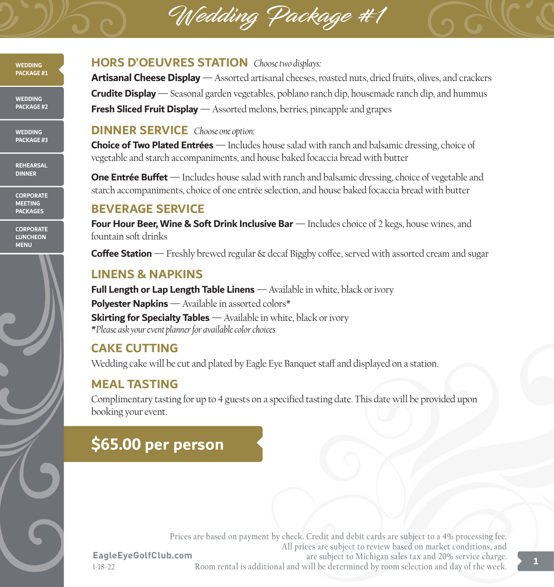# Wedding Package #1



**WEDDING PACKAGE #2**

**WEDDING PACKAGE #3**

**REHEARSAL DINNER**

**CORPORATE MEETING PACKAGES**

**CORPORATE LUNCHEON MENU**



#### **HORS D'OEUVRES STATION** *Choose two displays:*

**Artisanal Cheese Display** — Assorted artisanal cheeses, roasted nuts, dried fruits, olives, and crackers **Crudite Display** — Seasonal garden vegetables, poblano ranch dip, housemade ranch dip, and hummus **Fresh Sliced Fruit Display** — Assorted melons, berries, pineapple and grapes

#### **DINNER SERVICE** *Choose one option:*

**Choice of Two Plated Entrées** — Includes house salad with ranch and balsamic dressing, choice of vegetable and starch accompaniments, and house baked focaccia bread with butter

**One Entrée Buffet** — Includes house salad with ranch and balsamic dressing, choice of vegetable and starch accompaniments, choice of one entrée selection, and house baked focaccia bread with butter

#### **BEVERAGE SERVICE**

**Four Hour Beer, Wine & Soft Drink Inclusive Bar** — Includes choice of 2 kegs, house wines, and fountain soft drinks

**Coffee Station** — Freshly brewed regular & decaf Biggby coffee, served with assorted cream and sugar

## **LINENS & NAPKINS**

**Full Length or Lap Length Table Linens** — Available in white, black or ivory **Polyester Napkins** — Available in assorted colors\* **Skirting for Specialty Tables** — Available in white, black or ivory **\****Please ask your event planner for available color choices*

# **CAKE CUTTING**

Wedding cake will be cut and plated by Eagle Eye Banquet staff and displayed on a station.

# **MEAL TASTING**

Complimentary tasting for up to 4 guests on a specified tasting date. This date will be provided upon booking your event.

# **\$65.00 per person**

**EagleEyeGolfClub.com 1-18-22**

**Prices are based on payment by check. Credit and debit cards are subject to a 4% processing fee. All prices are subject to review based on market conditions, and are subject to Michigan sales tax and 20% service charge. Room rental is additional and will be determined by room selection and day of the week.**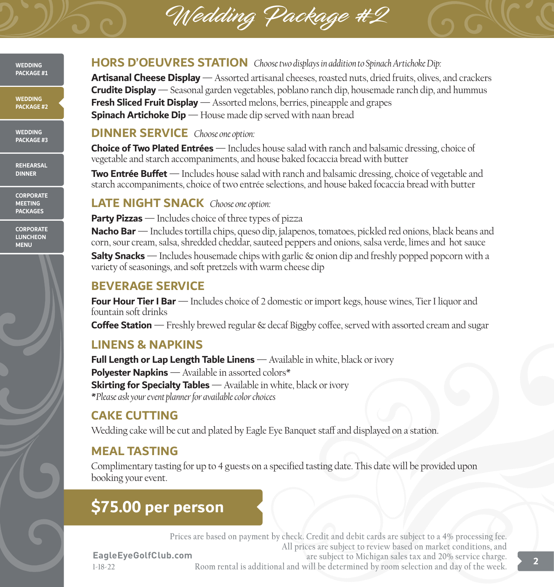# Wedding Package #2

**WEDDING PACKAGE #1**

**WEDDING PACKAGE #2**

**WEDDING PACKAGE #3**

**REHEARSAL DINNER**

**CORPORATE MEETING PACKAGES**

**CORPORATE LUNCHEON MENU**



#### **HORS D'OEUVRES STATION** *Choose two displays in addition to Spinach Artichoke Dip:*

**Artisanal Cheese Display** — Assorted artisanal cheeses, roasted nuts, dried fruits, olives, and crackers **Crudite Display** — Seasonal garden vegetables, poblano ranch dip, housemade ranch dip, and hummus **Fresh Sliced Fruit Display** — Assorted melons, berries, pineapple and grapes **Spinach Artichoke Dip** — House made dip served with naan bread

#### **DINNER SERVICE** *Choose one option:*

**Choice of Two Plated Entrées** — Includes house salad with ranch and balsamic dressing, choice of vegetable and starch accompaniments, and house baked focaccia bread with butter

**Two Entrée Buffet** — Includes house salad with ranch and balsamic dressing, choice of vegetable and starch accompaniments, choice of two entrée selections, and house baked focaccia bread with butter

### **LATE NIGHT SNACK** *Choose one option:*

**Party Pizzas** — Includes choice of three types of pizza

**Nacho Bar** — Includes tortilla chips, queso dip, jalapenos, tomatoes, pickled red onions, black beans and corn, sour cream, salsa, shredded cheddar, sauteed peppers and onions, salsa verde, limes and hot sauce

**Salty Snacks** — Includes housemade chips with garlic & onion dip and freshly popped popcorn with a variety of seasonings, and soft pretzels with warm cheese dip

## **BEVERAGE SERVICE**

**Four Hour Tier I Bar** — Includes choice of 2 domestic or import kegs, house wines, Tier I liquor and fountain soft drinks

**Coffee Station** — Freshly brewed regular & decaf Biggby coffee, served with assorted cream and sugar

# **LINENS & NAPKINS**

**Full Length or Lap Length Table Linens** — Available in white, black or ivory **Polyester Napkins** — Available in assorted colors\* **Skirting for Specialty Tables** — Available in white, black or ivory **\****Please ask your event planner for available color choices*

# **CAKE CUTTING**

Wedding cake will be cut and plated by Eagle Eye Banquet staff and displayed on a station.

# **MEAL TASTING**

**1-18-22**

Complimentary tasting for up to 4 guests on a specified tasting date. This date will be provided upon booking your event.

# **\$75.00 per person**

**EagleEyeGolfClub.com Prices are based on payment by check. Credit and debit cards are subject to a 4% processing fee. All prices are subject to review based on market conditions, and are subject to Michigan sales tax and 20% service charge. Room rental is additional and will be determined by room selection and day of the week. 2**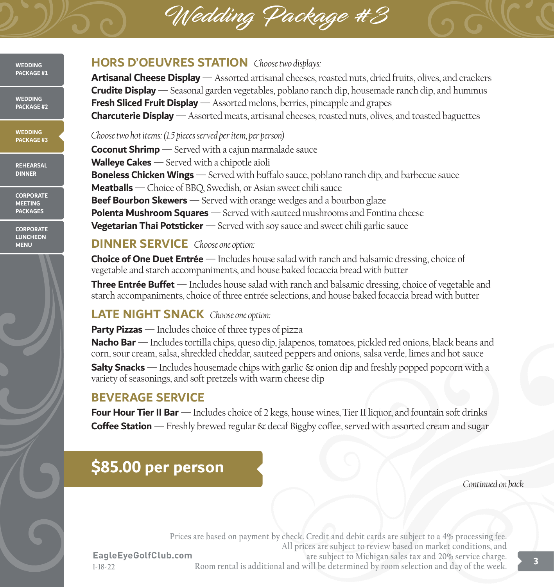# Wedding Package #3



**WEDDING PACKAGE #2**

**WEDDING PACKAGE #3**

**REHEARSAL DINNER**

**CORPORATE MEETING PACKAGES**

**CORPORATE LUNCHEON MENU**



#### **HORS D'OEUVRES STATION** *Choose two displays:*

**Artisanal Cheese Display** — Assorted artisanal cheeses, roasted nuts, dried fruits, olives, and crackers **Crudite Display** — Seasonal garden vegetables, poblano ranch dip, housemade ranch dip, and hummus **Fresh Sliced Fruit Display** — Assorted melons, berries, pineapple and grapes **Charcuterie Display** — Assorted meats, artisanal cheeses, roasted nuts, olives, and toasted baguettes

*Choose two hot items: (1.5 pieces served per item, per person)* **Coconut Shrimp** — Served with a cajun marmalade sauce **Walleye Cakes** — Served with a chipotle aioli **Boneless Chicken Wings** — Served with buffalo sauce, poblano ranch dip, and barbecue sauce **Meatballs** — Choice of BBQ, Swedish, or Asian sweet chili sauce **Beef Bourbon Skewers** — Served with orange wedges and a bourbon glaze **Polenta Mushroom Squares** — Served with sauteed mushrooms and Fontina cheese **Vegetarian Thai Potsticker** — Served with soy sauce and sweet chili garlic sauce

#### **DINNER SERVICE** *Choose one option:*

**Choice of One Duet Entrée** — Includes house salad with ranch and balsamic dressing, choice of vegetable and starch accompaniments, and house baked focaccia bread with butter

**Three Entrée Buffet** — Includes house salad with ranch and balsamic dressing, choice of vegetable and starch accompaniments, choice of three entrée selections, and house baked focaccia bread with butter

### **LATE NIGHT SNACK** *Choose one option:*

**Party Pizzas** — Includes choice of three types of pizza

**Nacho Bar** — Includes tortilla chips, queso dip, jalapenos, tomatoes, pickled red onions, black beans and corn, sour cream, salsa, shredded cheddar, sauteed peppers and onions, salsa verde, limes and hot sauce

**Salty Snacks** — Includes housemade chips with garlic & onion dip and freshly popped popcorn with a variety of seasonings, and soft pretzels with warm cheese dip

### **BEVERAGE SERVICE**

**Four Hour Tier II Bar** — Includes choice of 2 kegs, house wines, Tier II liquor, and fountain soft drinks **Coffee Station** — Freshly brewed regular & decaf Biggby coffee, served with assorted cream and sugar

# **\$85.00 per person**

*Continued on back*

**EagleEyeGolfClub.com 1-18-22 Prices are based on payment by check. Credit and debit cards are subject to a 4% processing fee. All prices are subject to review based on market conditions, and are subject to Michigan sales tax and 20% service charge. Room rental is additional and will be determined by room selection and day of the week. 3**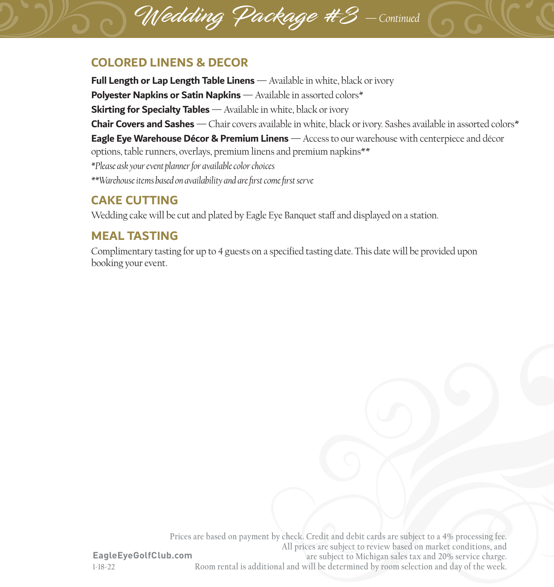# **COLORED LINENS & DECOR**

**Full Length or Lap Length Table Linens** — Available in white, black or ivory **Polyester Napkins or Satin Napkins** — Available in assorted colors\* **Skirting for Specialty Tables** — Available in white, black or ivory **Chair Covers and Sashes** — Chair covers available in white, black or ivory. Sashes available in assorted colors\* **Eagle Eye Warehouse Décor & Premium Linens** — Access to our warehouse with centerpiece and décor options, table runners, overlays, premium linens and premium napkins\*\* *\*Please ask your event planner for available color choices \*\*Warehouse items based on availability and are first come first serve*

#### **CAKE CUTTING**

Wedding cake will be cut and plated by Eagle Eye Banquet staff and displayed on a station.

Wedding Package #3 — *Continued*

### **MEAL TASTING**

Complimentary tasting for up to 4 guests on a specified tasting date. This date will be provided upon booking your event.